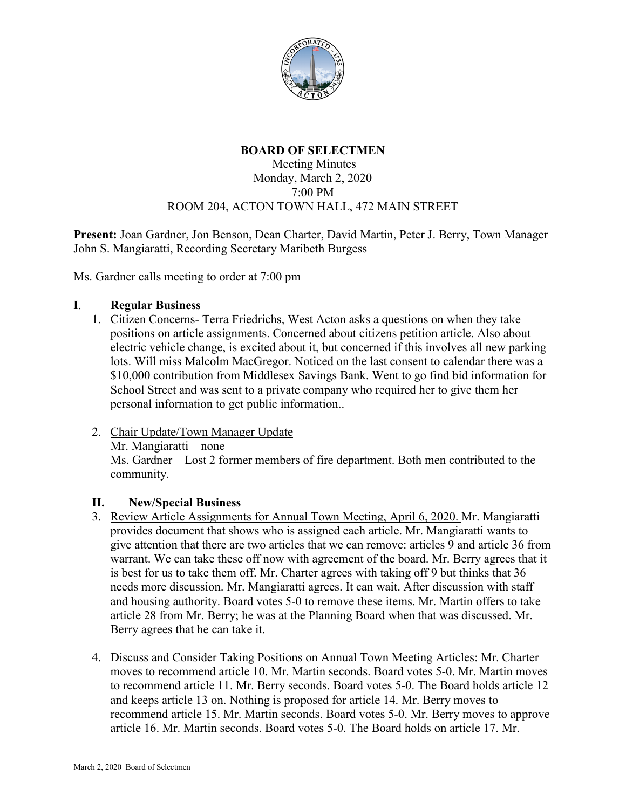

# **BOARD OF SELECTMEN**

### Meeting Minutes Monday, March 2, 2020 7:00 PM ROOM 204, ACTON TOWN HALL, 472 MAIN STREET

**Present:** Joan Gardner, Jon Benson, Dean Charter, David Martin, Peter J. Berry, Town Manager John S. Mangiaratti, Recording Secretary Maribeth Burgess

Ms. Gardner calls meeting to order at 7:00 pm

### **I**. **Regular Business**

- 1. Citizen Concerns- Terra Friedrichs, West Acton asks a questions on when they take positions on article assignments. Concerned about citizens petition article. Also about electric vehicle change, is excited about it, but concerned if this involves all new parking lots. Will miss Malcolm MacGregor. Noticed on the last consent to calendar there was a \$10,000 contribution from Middlesex Savings Bank. Went to go find bid information for School Street and was sent to a private company who required her to give them her personal information to get public information..
- 2. Chair Update/Town Manager Update Mr. Mangiaratti – none Ms. Gardner – Lost 2 former members of fire department. Both men contributed to the community.

## **II. New/Special Business**

- 3. Review Article Assignments for Annual Town Meeting, April 6, 2020. Mr. Mangiaratti provides document that shows who is assigned each article. Mr. Mangiaratti wants to give attention that there are two articles that we can remove: articles 9 and article 36 from warrant. We can take these off now with agreement of the board. Mr. Berry agrees that it is best for us to take them off. Mr. Charter agrees with taking off 9 but thinks that 36 needs more discussion. Mr. Mangiaratti agrees. It can wait. After discussion with staff and housing authority. Board votes 5-0 to remove these items. Mr. Martin offers to take article 28 from Mr. Berry; he was at the Planning Board when that was discussed. Mr. Berry agrees that he can take it.
- 4. Discuss and Consider Taking Positions on Annual Town Meeting Articles: Mr. Charter moves to recommend article 10. Mr. Martin seconds. Board votes 5-0. Mr. Martin moves to recommend article 11. Mr. Berry seconds. Board votes 5-0. The Board holds article 12 and keeps article 13 on. Nothing is proposed for article 14. Mr. Berry moves to recommend article 15. Mr. Martin seconds. Board votes 5-0. Mr. Berry moves to approve article 16. Mr. Martin seconds. Board votes 5-0. The Board holds on article 17. Mr.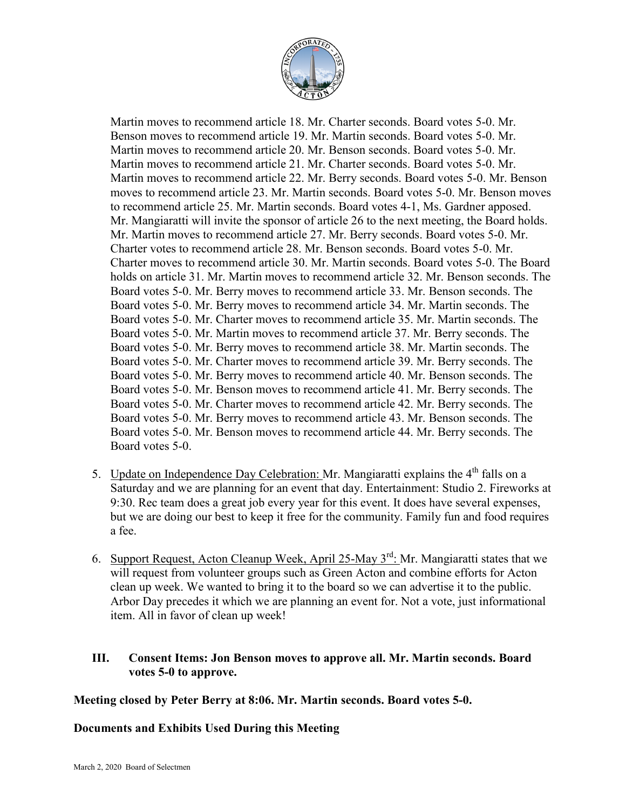

Martin moves to recommend article 18. Mr. Charter seconds. Board votes 5-0. Mr. Benson moves to recommend article 19. Mr. Martin seconds. Board votes 5-0. Mr. Martin moves to recommend article 20. Mr. Benson seconds. Board votes 5-0. Mr. Martin moves to recommend article 21. Mr. Charter seconds. Board votes 5-0. Mr. Martin moves to recommend article 22. Mr. Berry seconds. Board votes 5-0. Mr. Benson moves to recommend article 23. Mr. Martin seconds. Board votes 5-0. Mr. Benson moves to recommend article 25. Mr. Martin seconds. Board votes 4-1, Ms. Gardner apposed. Mr. Mangiaratti will invite the sponsor of article 26 to the next meeting, the Board holds. Mr. Martin moves to recommend article 27. Mr. Berry seconds. Board votes 5-0. Mr. Charter votes to recommend article 28. Mr. Benson seconds. Board votes 5-0. Mr. Charter moves to recommend article 30. Mr. Martin seconds. Board votes 5-0. The Board holds on article 31. Mr. Martin moves to recommend article 32. Mr. Benson seconds. The Board votes 5-0. Mr. Berry moves to recommend article 33. Mr. Benson seconds. The Board votes 5-0. Mr. Berry moves to recommend article 34. Mr. Martin seconds. The Board votes 5-0. Mr. Charter moves to recommend article 35. Mr. Martin seconds. The Board votes 5-0. Mr. Martin moves to recommend article 37. Mr. Berry seconds. The Board votes 5-0. Mr. Berry moves to recommend article 38. Mr. Martin seconds. The Board votes 5-0. Mr. Charter moves to recommend article 39. Mr. Berry seconds. The Board votes 5-0. Mr. Berry moves to recommend article 40. Mr. Benson seconds. The Board votes 5-0. Mr. Benson moves to recommend article 41. Mr. Berry seconds. The Board votes 5-0. Mr. Charter moves to recommend article 42. Mr. Berry seconds. The Board votes 5-0. Mr. Berry moves to recommend article 43. Mr. Benson seconds. The Board votes 5-0. Mr. Benson moves to recommend article 44. Mr. Berry seconds. The Board votes 5-0.

- 5. Update on Independence Day Celebration: Mr. Mangiaratti explains the  $4<sup>th</sup>$  falls on a Saturday and we are planning for an event that day. Entertainment: Studio 2. Fireworks at 9:30. Rec team does a great job every year for this event. It does have several expenses, but we are doing our best to keep it free for the community. Family fun and food requires a fee.
- 6. Support Request, Acton Cleanup Week, April 25-May 3<sup>rd</sup>: Mr. Mangiaratti states that we will request from volunteer groups such as Green Acton and combine efforts for Acton clean up week. We wanted to bring it to the board so we can advertise it to the public. Arbor Day precedes it which we are planning an event for. Not a vote, just informational item. All in favor of clean up week!

## **III. Consent Items: Jon Benson moves to approve all. Mr. Martin seconds. Board votes 5-0 to approve.**

## **Meeting closed by Peter Berry at 8:06. Mr. Martin seconds. Board votes 5-0.**

## **Documents and Exhibits Used During this Meeting**